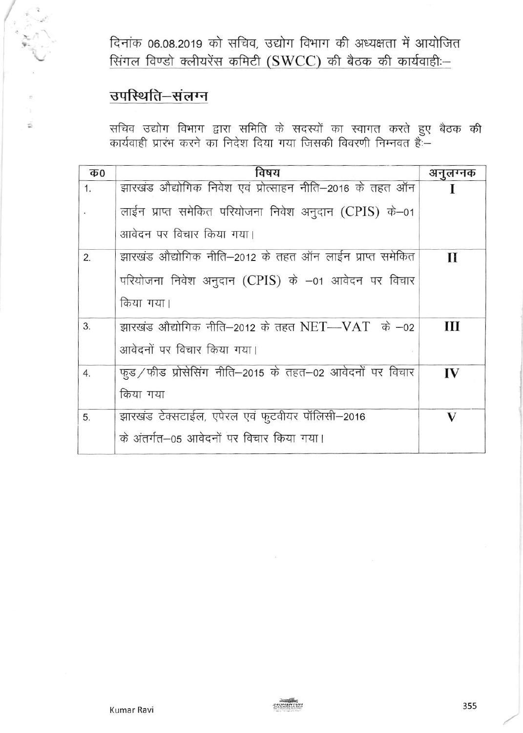दिनांक 06.08.2019 को सचिव, उद्योग विभाग की अध्यक्षता में आयोजित सिंगल विण्डो क्लीयरेंस कमिटी (SWCC) की बैठक की कार्यवाही :-

# उपस्थिति-संलग्न

s.

सचिव उद्योग विभाग द्वारा समिति के सदस्यों का स्वागत करते हुए बैठक की<br>कार्यवाही प्रारंभ करने का निदेश दिया गया जिसकी विवरणी निम्नवत हैः—

| <b>Ф0</b> | विषय                                                     | अनुलग्नक    |
|-----------|----------------------------------------------------------|-------------|
| 1.        | झारखंड औद्योगिक निवेश एवं प्रोत्साहन नीति–2016 के तहत ऑन |             |
|           | लाईन प्राप्त समेकित परियोजना निवेश अनुदान (CPIS) के–01   |             |
|           | आवेदन पर विचार किया गया।                                 |             |
| 2.        | झारखंड औद्योगिक नीति–2012 के तहत ऑन लाईन प्राप्त समेकित  | $\mathbf H$ |
|           | परियोजना निवेश अनुदान (CPIS) के -01 आवेदन पर विचार       |             |
|           | किया गया।                                                |             |
| 3.        | झारखंड औद्योगिक नीति−2012 के तहत NET—VAT के −02          | Ш           |
|           | आवेदनों पर विचार किया गया।                               |             |
| 4.        | फुड/फीड प्रोसेसिंग नीति-2015 के तहत-02 आवेदनों पर विचार  | IV          |
|           | किया गया                                                 |             |
| 5.        | झारखंड टेक्सटाईल, एपेरल एवं फुटवीयर पॉलिसी–2016          | V           |
|           | के अंतर्गत-05 आवेदनों पर विचार किया गया।                 |             |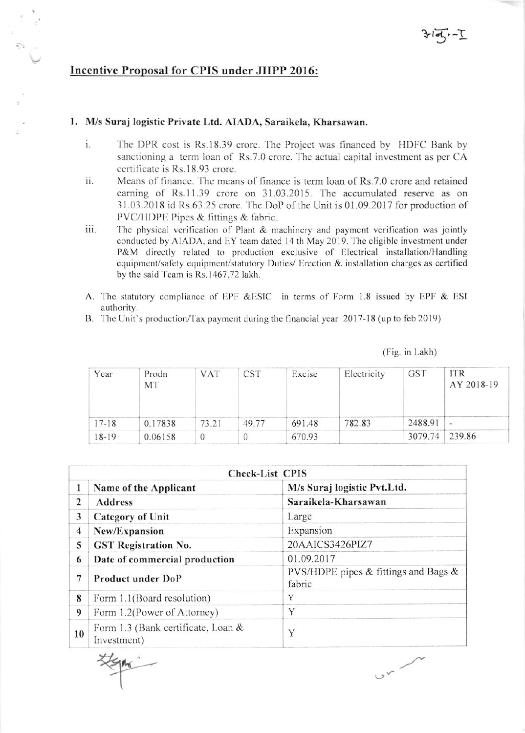# Incentive Proposal for CPIS under JIIPP 2016:

#### 1. M/s Suraj logistic Private Ltd. AIADA, Saraikela, Kharsawan.

- $i$ . The DPR cost is Rs.18.39 crore. The Project was financed by HDFC Bank by sanctioning a term loan of Rs.7.0 crore. The actual capital investment as per CA certificate is Rs.18.93 crore.
- Means of finance. The means of finance is term loan of Rs.7.0 crore and retained ii. earning of Rs.11.39 crore on 31.03.2015. The accumulated reserve as on 31.03.2018 id Rs.63.25 crore. The DoP of the Unit is 01.09.2017 for production of PVC/HDPE Pipes & fittings & fabric.
- iii. The physical verification of Plant & machinery and payment verification was jointly conducted by AIADA, and EY team dated 14 th May 2019. The eligible investment under P&M directly related to production exclusive of Electrical installation/Handling equipment/safety equipment/statutory Duties/ Erection & installation charges as certified by the said Team is Rs.1467.72 lakh.
- A. The statutory compliance of EPF &ESIC in terms of Form 1.8 issued by EPF & ESI authority.
- B. The Unit's production/Tax payment during the financial year 2017-18 (up to feb 2019)

(Fig. in Lakh)

| Year      | Prodn<br>MT | <b>VAT</b> | <b>CST</b> | Excise | Electricity | <b>GST</b> | <b>ITR</b><br>AY 2018-19 |
|-----------|-------------|------------|------------|--------|-------------|------------|--------------------------|
| $17 - 18$ | 0.17838     | 73.21      | 49 77      | 691.48 | 782.83      | 2488.91    | $\sim$                   |
| $18-19$   | 0.06158     | U          |            | 670.93 |             | 3079.74    | 239.86                   |

|                         |                                                   | <b>Check-List CPIS</b>                            |  |  |  |  |  |
|-------------------------|---------------------------------------------------|---------------------------------------------------|--|--|--|--|--|
|                         | Name of the Applicant                             | M/s Suraj logistic Pvt.Ltd.                       |  |  |  |  |  |
| $\overline{c}$          | <b>Address</b>                                    | Saraikela-Kharsawan                               |  |  |  |  |  |
| 3                       | <b>Category of Unit</b>                           | Large                                             |  |  |  |  |  |
| $\overline{\mathbf{4}}$ | New/Expansion                                     | Expansion                                         |  |  |  |  |  |
| 5                       | <b>GST Registration No.</b>                       | 20AAICS3426PIZ7                                   |  |  |  |  |  |
| 6                       | Date of commercial production                     | 01.09.2017                                        |  |  |  |  |  |
| 7                       | Product under DoP                                 | PVS/HDPE pipes & fittings and Bags $\&$<br>fabric |  |  |  |  |  |
| 8                       | Form 1.1(Board resolution)                        | Y                                                 |  |  |  |  |  |
| 9                       | Form 1.2(Power of Attorney)                       | Y                                                 |  |  |  |  |  |
| 10                      | Form 1.3 (Bank certificate, Loan &<br>Investment) | Y                                                 |  |  |  |  |  |

 $v^2$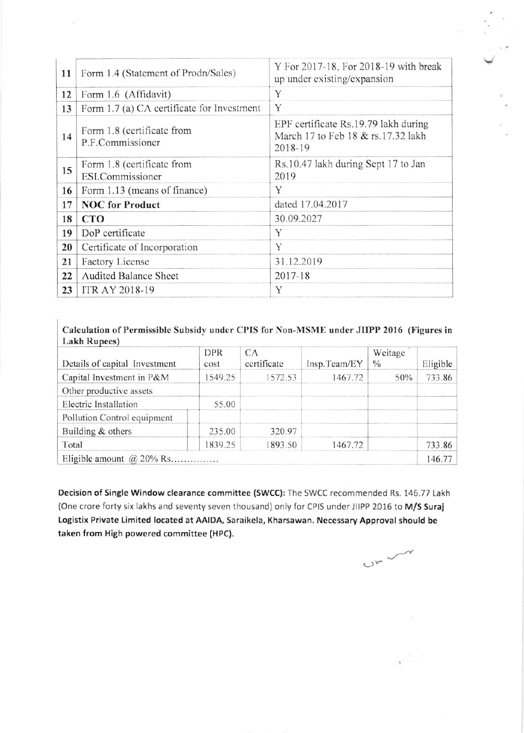| 11 | Form 1.4 (Statement of Prodn/Sales)            | Y For 2017-18, For 2018-19 with break<br>up under existing/expansion                  |  |  |  |  |
|----|------------------------------------------------|---------------------------------------------------------------------------------------|--|--|--|--|
| 12 | Form 1.6 (Affidavit)                           | Y                                                                                     |  |  |  |  |
| 13 | Form 1.7 (a) CA certificate for Investment     | Y                                                                                     |  |  |  |  |
| 14 | Form 1.8 (certificate from<br>P.F.Commissioner | EPF certificate Rs.19.79 lakh during<br>March 17 to Feb 18 & rs.17.32 lakh<br>2018-19 |  |  |  |  |
| 15 | Form 1.8 (certificate from<br>ESI.Commissioner | Rs.10.47 lakh during Sept 17 to Jan<br>2019                                           |  |  |  |  |
| 16 | Form 1.13 (means of finance)                   | Y                                                                                     |  |  |  |  |
| 17 | <b>NOC</b> for Product                         | dated 17.04.2017                                                                      |  |  |  |  |
| 18 | <b>CTO</b>                                     | 30.09.2027                                                                            |  |  |  |  |
| 19 | DoP certificate                                | Y                                                                                     |  |  |  |  |
| 20 | Certificate of Incorporation                   | Y                                                                                     |  |  |  |  |
| 21 | Factory License                                | 31.12.2019                                                                            |  |  |  |  |
| 22 | <b>Audited Balance Sheet</b>                   | $2017 - 18$                                                                           |  |  |  |  |
| 23 | ITR AY 2018-19                                 | Y                                                                                     |  |  |  |  |

# Calculation of Permissible Subsidy under CPIS for Non-MSME under JIIPP 2016 (Figures in Lakh Rupees)

| Details of capital Investment | <b>DPR</b><br>cost | CA<br>certificate | Insp.Team/EY | Weitage<br>$\frac{0}{0}$ | Eligible |
|-------------------------------|--------------------|-------------------|--------------|--------------------------|----------|
| Capital Investment in P&M     | 1549.25            | 1572.53           | 1467.72      | 50%                      | 733.86   |
| Other productive assets       |                    |                   |              |                          |          |
| Electric Installation         | 55.00              |                   |              |                          |          |
| Pollution Control equipment   |                    |                   |              |                          |          |
| Building & others             | 235.00             | 320.97            |              |                          |          |
| Total                         | 1839.25            | 1893.50           | 1467.72      |                          | 733.86   |
| Eligible amount $@$ 20% Rs    |                    |                   |              |                          | 146.77   |

Decision of Single Window clearance committee (SWCC): The SWCC recommended Rs. 146.77 Lakh (One crore forty six lakhs and seventy seven thousand) only for CPIS under JIIPP 2016 to M/S Suraj Logistix Private Limited located at AAIDA, Saraikela, Kharsawan. Necessary Approval should be taken from High powered committee (HPC).

 $C_{r}$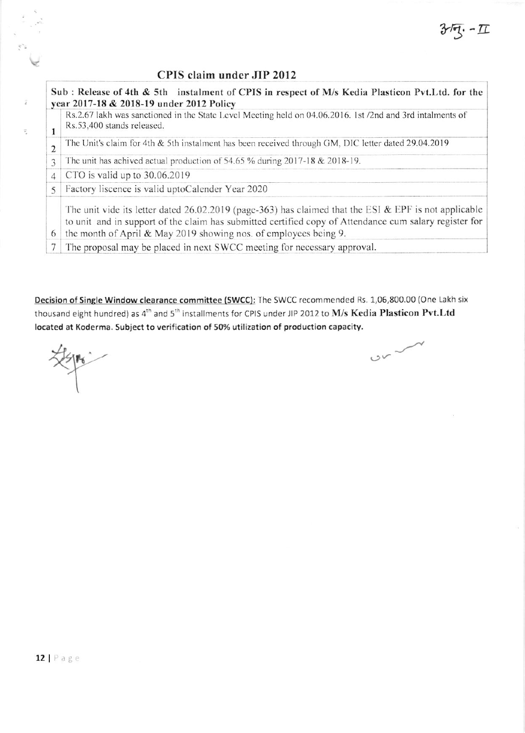z. – II

# CPIS claim under JIP 2012

Sub: Release of 4th & 5th instalment of CPIS in respect of M/s Kedia Plasticon Pvt. Ltd. for the year 2017-18 & 2018-19 under 2012 Policy Rs.2.67 lakh was sanctioned in the State Level Meeting held on 04.06.2016. 1st /2nd and 3rd intalments of Rs.53,400 stands released.  $\mathbf{1}$ The Unit's claim for 4th & 5th instalment has been received through GM, DIC letter dated 29.04.2019  $\overline{2}$ The unit has achived actual production of 54.65 % during 2017-18 & 2018-19. 3 CTO is valid up to 30.06.2019  $\overline{4}$ Factory liscence is valid uptoCalender Year 2020 5 The unit vide its letter dated  $26.02.2019$  (page-363) has claimed that the ESI & EPF is not applicable to unit and in support of the claim has submitted certified copy of Attendance cum salary register for 6 the month of April & May 2019 showing nos. of employees being 9. 7 The proposal may be placed in next SWCC meeting for necessary approval.

Decision of Single Window clearance committee (SWCC): The SWCC recommended Rs. 1,06,800.00 (One Lakh six thousand eight hundred) as 4<sup>th</sup> and 5<sup>th</sup> installments for CPIS under JIP 2012 to M/s Kedia Plasticon Pvt.Ltd located at Koderma. Subject to verification of 50% utilization of production capacity.

Ŧ

 $\bar{\gamma}$ 

 $\sim$